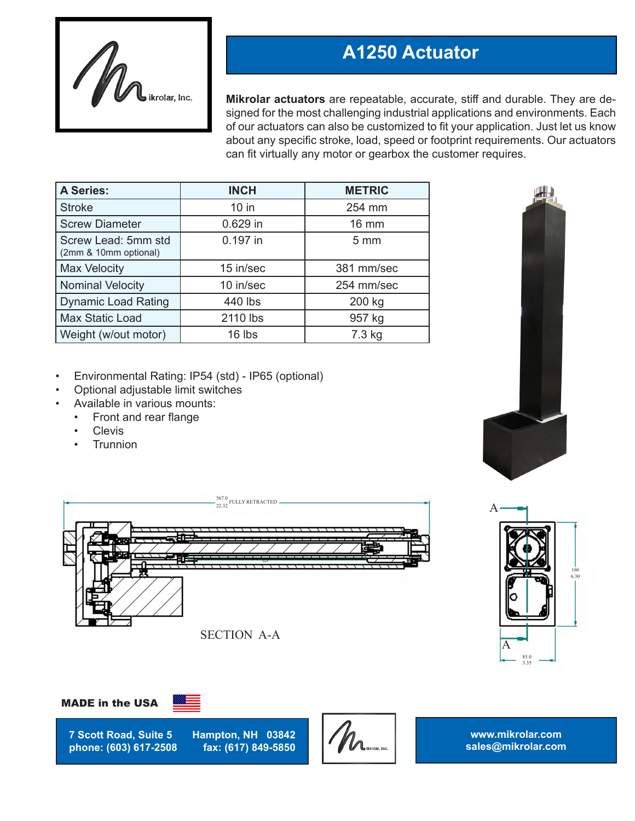

# **A1250 Actuator**

**Mikrolar actuators** are repeatable, accurate, stiff and durable. They are designed for the most challenging industrial applications and environments. Each of our actuators can also be customized to fit your application. Just let us know about any specific stroke, load, speed or footprint requirements. Our actuators can fit virtually any motor or gearbox the customer requires.

| <b>A Series:</b>                             | <b>INCH</b> | <b>METRIC</b>  |
|----------------------------------------------|-------------|----------------|
| <b>Stroke</b>                                | $10$ in     | 254 mm         |
| <b>Screw Diameter</b>                        | 0.629 in    | 16 mm          |
| Screw Lead: 5mm std<br>(2mm & 10mm optional) | 0.197 in    | $5 \text{ mm}$ |
| <b>Max Velocity</b>                          | 15 in/sec   | 381 mm/sec     |
| <b>Nominal Velocity</b>                      | 10 in/sec   | 254 mm/sec     |
| <b>Dynamic Load Rating</b>                   | 440 lbs     | 200 kg         |
| <b>Max Static Load</b>                       | 2110 lbs    | 957 kg         |
| Weight (w/out motor)                         | 16 lbs      | 7.3 kg         |

- Environmental Rating: IP54 (std) IP65 (optional)
- Optional adjustable limit switches
- Available in various mounts:
	- Front and rear flange
	- **Clevis**
	- **Trunnion**











**7 Scott Road, Suite 5 Hampton, NH 03842 phone: (603) 617-2508** 



**www.mikrolar.com sales@mikrolar.com**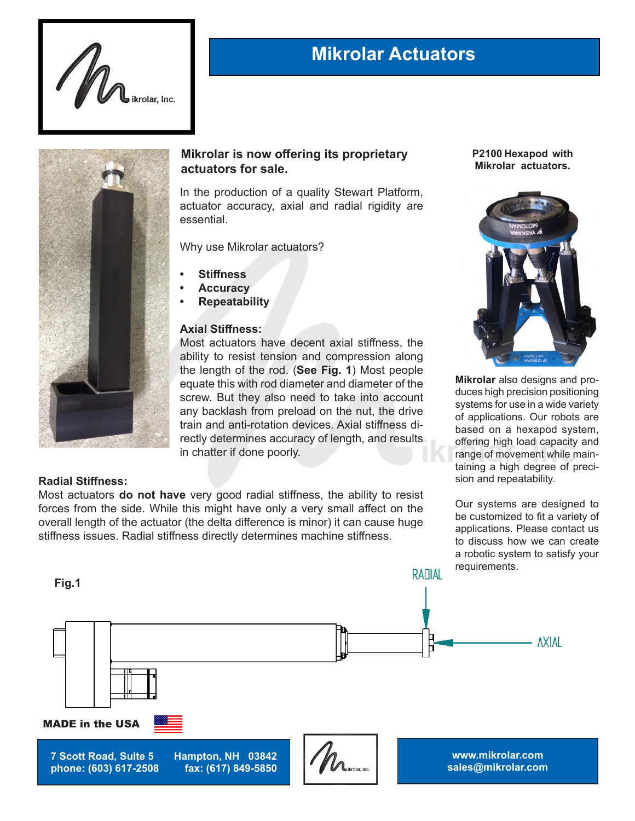

## **Mikrolar Actuators**



### **Mikrolar is now offering its proprietary actuators for sale.**

In the production of a quality Stewart Platform, actuator accuracy, axial and radial rigidity are essential.

Why use Mikrolar actuators?

- **• Stiffness**
- **• Accuracy**
- **• Repeatability**

#### **Axial Stiffness:**

Most actuators have decent axial stiffness, the ability to resist tension and compression along the length of the rod. (**See Fig. 1**) Most people equate this with rod diameter and diameter of the screw. But they also need to take into account any backlash from preload on the nut, the drive train and anti-rotation devices. Axial stiffness directly determines accuracy of length, and results in chatter if done poorly.

#### **P2100 Hexapod with Mikrolar actuators.**



**Mikrolar** also designs and produces high precision positioning systems for use in a wide variety of applications. Our robots are based on a hexapod system, offering high load capacity and range of movement while maintaining a high degree of precision and repeatability.

#### **Radial Stiffness:**

Most actuators **do not have** very good radial stiffness, the ability to resist forces from the side. While this might have only a very small affect on the overall length of the actuator (the delta difference is minor) it can cause huge stiffness issues. Radial stiffness directly determines machine stiffness.

Our systems are designed to be customized to fit a variety of applications. Please contact us to discuss how we can create a robotic system to satisfy your requirements.